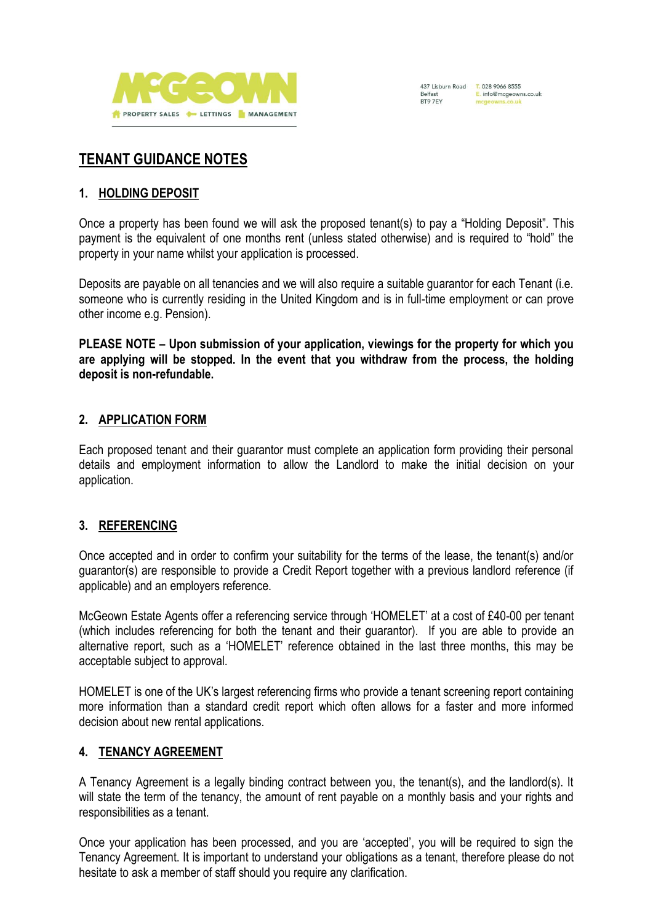



# **TENANT GUIDANCE NOTES**

#### **1. HOLDING DEPOSIT**

Once a property has been found we will ask the proposed tenant(s) to pay a "Holding Deposit". This payment is the equivalent of one months rent (unless stated otherwise) and is required to "hold" the property in your name whilst your application is processed.

Deposits are payable on all tenancies and we will also require a suitable guarantor for each Tenant (i.e. someone who is currently residing in the United Kingdom and is in full-time employment or can prove other income e.g. Pension).

**PLEASE NOTE – Upon submission of your application, viewings for the property for which you are applying will be stopped. In the event that you withdraw from the process, the holding deposit is non-refundable.** 

#### **2. APPLICATION FORM**

Each proposed tenant and their guarantor must complete an application form providing their personal details and employment information to allow the Landlord to make the initial decision on your application.

#### **3. REFERENCING**

Once accepted and in order to confirm your suitability for the terms of the lease, the tenant(s) and/or guarantor(s) are responsible to provide a Credit Report together with a previous landlord reference (if applicable) and an employers reference.

McGeown Estate Agents offer a referencing service through 'HOMELET' at a cost of £40-00 per tenant (which includes referencing for both the tenant and their guarantor). If you are able to provide an alternative report, such as a 'HOMELET' reference obtained in the last three months, this may be acceptable subject to approval.

HOMELET is one of the UK's largest referencing firms who provide a tenant screening report containing more information than a standard credit report which often allows for a faster and more informed decision about new rental applications.

#### **4. TENANCY AGREEMENT**

A Tenancy Agreement is a legally binding contract between you, the tenant(s), and the landlord(s). It will state the term of the tenancy, the amount of rent payable on a monthly basis and your rights and responsibilities as a tenant.

Once your application has been processed, and you are 'accepted', you will be required to sign the Tenancy Agreement. It is important to understand your obligations as a tenant, therefore please do not hesitate to ask a member of staff should you require any clarification.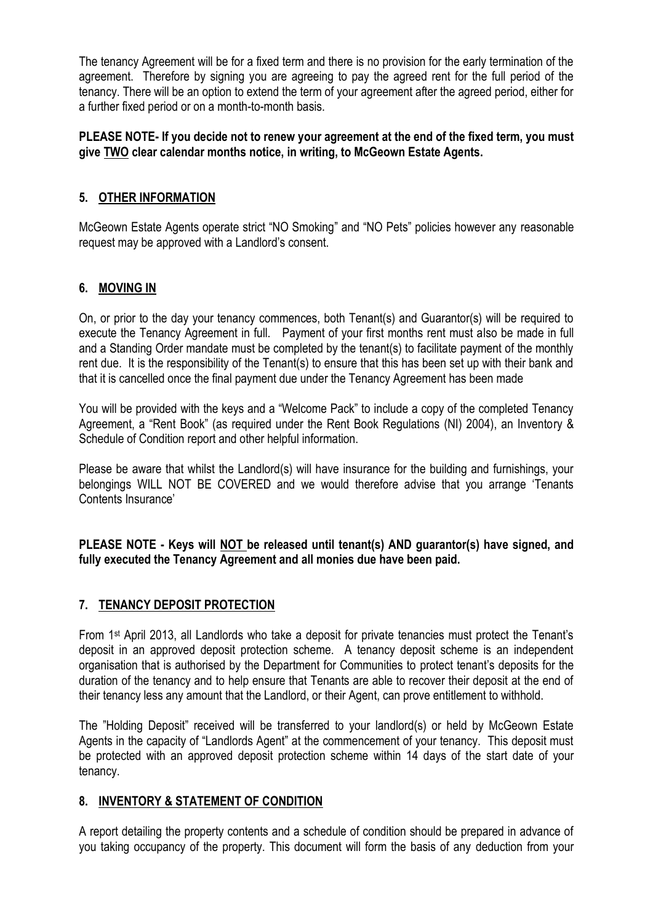The tenancy Agreement will be for a fixed term and there is no provision for the early termination of the agreement. Therefore by signing you are agreeing to pay the agreed rent for the full period of the tenancy. There will be an option to extend the term of your agreement after the agreed period, either for a further fixed period or on a month-to-month basis.

### **PLEASE NOTE- If you decide not to renew your agreement at the end of the fixed term, you must give TWO clear calendar months notice, in writing, to McGeown Estate Agents.**

## **5. OTHER INFORMATION**

McGeown Estate Agents operate strict "NO Smoking" and "NO Pets" policies however any reasonable request may be approved with a Landlord's consent.

# **6. MOVING IN**

On, or prior to the day your tenancy commences, both Tenant(s) and Guarantor(s) will be required to execute the Tenancy Agreement in full. Payment of your first months rent must also be made in full and a Standing Order mandate must be completed by the tenant(s) to facilitate payment of the monthly rent due. It is the responsibility of the Tenant(s) to ensure that this has been set up with their bank and that it is cancelled once the final payment due under the Tenancy Agreement has been made

You will be provided with the keys and a "Welcome Pack" to include a copy of the completed Tenancy Agreement, a "Rent Book" (as required under the Rent Book Regulations (NI) 2004), an Inventory & Schedule of Condition report and other helpful information.

Please be aware that whilst the Landlord(s) will have insurance for the building and furnishings, your belongings WILL NOT BE COVERED and we would therefore advise that you arrange 'Tenants Contents Insurance'

**PLEASE NOTE - Keys will NOT be released until tenant(s) AND guarantor(s) have signed, and fully executed the Tenancy Agreement and all monies due have been paid.** 

#### **7. TENANCY DEPOSIT PROTECTION**

From 1st April 2013, all Landlords who take a deposit for private tenancies must protect the Tenant's deposit in an approved deposit protection scheme. A tenancy deposit scheme is an independent organisation that is authorised by the Department for Communities to protect tenant's deposits for the duration of the tenancy and to help ensure that Tenants are able to recover their deposit at the end of their tenancy less any amount that the Landlord, or their Agent, can prove entitlement to withhold.

The "Holding Deposit" received will be transferred to your landlord(s) or held by McGeown Estate Agents in the capacity of "Landlords Agent" at the commencement of your tenancy. This deposit must be protected with an approved deposit protection scheme within 14 days of the start date of your tenancy.

#### **8. INVENTORY & STATEMENT OF CONDITION**

A report detailing the property contents and a schedule of condition should be prepared in advance of you taking occupancy of the property. This document will form the basis of any deduction from your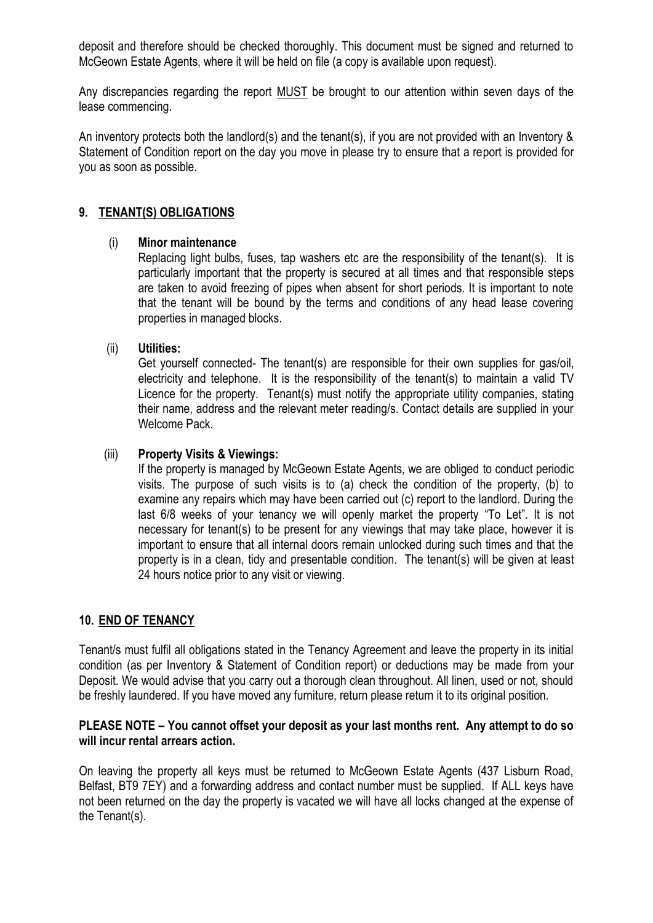deposit and therefore should be checked thoroughly. This document must be signed and returned to McGeown Estate Agents, where it will be held on file (a copy is available upon request).

Any discrepancies regarding the report MUST be brought to our attention within seven days of the lease commencing.

An inventory protects both the landlord(s) and the tenant(s), if you are not provided with an Inventory & Statement of Condition report on the day you move in please try to ensure that a report is provided for you as soon as possible.

#### **9. TENANT(S) OBLIGATIONS**

#### (i) **Minor maintenance**

Replacing light bulbs, fuses, tap washers etc are the responsibility of the tenant(s). It is particularly important that the property is secured at all times and that responsible steps are taken to avoid freezing of pipes when absent for short periods. It is important to note that the tenant will be bound by the terms and conditions of any head lease covering properties in managed blocks.

#### (ii) **Utilities:**

Get yourself connected- The tenant(s) are responsible for their own supplies for gas/oil, electricity and telephone. It is the responsibility of the tenant(s) to maintain a valid TV Licence for the property. Tenant(s) must notify the appropriate utility companies, stating their name, address and the relevant meter reading/s. Contact details are supplied in your Welcome Pack.

#### (iii) **Property Visits & Viewings:**

If the property is managed by McGeown Estate Agents, we are obliged to conduct periodic visits. The purpose of such visits is to (a) check the condition of the property, (b) to examine any repairs which may have been carried out (c) report to the landlord. During the last 6/8 weeks of your tenancy we will openly market the property "To Let". It is not necessary for tenant(s) to be present for any viewings that may take place, however it is important to ensure that all internal doors remain unlocked during such times and that the property is in a clean, tidy and presentable condition. The tenant(s) will be given at least 24 hours notice prior to any visit or viewing.

# **10. END OF TENANCY**

Tenant/s must fulfil all obligations stated in the Tenancy Agreement and leave the property in its initial condition (as per Inventory & Statement of Condition report) or deductions may be made from your Deposit. We would advise that you carry out a thorough clean throughout. All linen, used or not, should be freshly laundered. If you have moved any furniture, return please return it to its original position.

#### **PLEASE NOTE – You cannot offset your deposit as your last months rent. Any attempt to do so will incur rental arrears action.**

On leaving the property all keys must be returned to McGeown Estate Agents (437 Lisburn Road, Belfast, BT9 7EY) and a forwarding address and contact number must be supplied. If ALL keys have not been returned on the day the property is vacated we will have all locks changed at the expense of the Tenant(s).